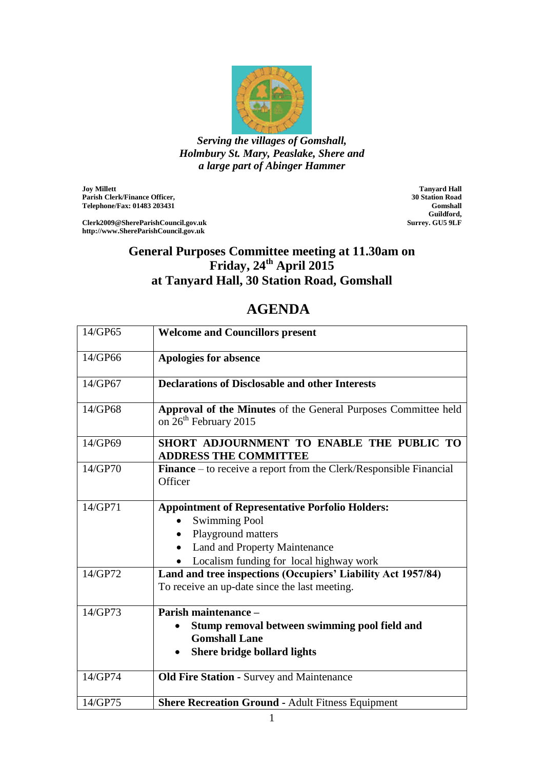

*Serving the villages of Gomshall, Holmbury St. Mary, Peaslake, Shere and a large part of Abinger Hammer*

**Joy Millett Parish Clerk/Finance Officer, Telephone/Fax: 01483 203431**

**Clerk2009@ShereParishCouncil.gov.uk http://www.ShereParishCouncil.gov.uk**

**Tanyard Hall 30 Station Road Gomshall Guildford, Surrey. GU5 9LF**

## **General Purposes Committee meeting at 11.30am on Friday, 24th April 2015 at Tanyard Hall, 30 Station Road, Gomshall**

## **AGENDA**

| 14/GP65 | <b>Welcome and Councillors present</b>                                                                                                                                           |
|---------|----------------------------------------------------------------------------------------------------------------------------------------------------------------------------------|
| 14/GP66 | Apologies for absence                                                                                                                                                            |
| 14/GP67 | <b>Declarations of Disclosable and other Interests</b>                                                                                                                           |
| 14/GP68 | Approval of the Minutes of the General Purposes Committee held<br>on 26 <sup>th</sup> February 2015                                                                              |
| 14/GP69 | SHORT ADJOURNMENT TO ENABLE THE PUBLIC TO<br><b>ADDRESS THE COMMITTEE</b>                                                                                                        |
| 14/GP70 | Finance - to receive a report from the Clerk/Responsible Financial<br>Officer                                                                                                    |
| 14/GP71 | <b>Appointment of Representative Porfolio Holders:</b><br><b>Swimming Pool</b><br>Playground matters<br>Land and Property Maintenance<br>Localism funding for local highway work |
| 14/GP72 | Land and tree inspections (Occupiers' Liability Act 1957/84)<br>To receive an up-date since the last meeting.                                                                    |
| 14/GP73 | Parish maintenance -<br>Stump removal between swimming pool field and<br><b>Gomshall Lane</b><br>Shere bridge bollard lights                                                     |
| 14/GP74 | <b>Old Fire Station - Survey and Maintenance</b>                                                                                                                                 |
| 14/GP75 | <b>Shere Recreation Ground - Adult Fitness Equipment</b>                                                                                                                         |